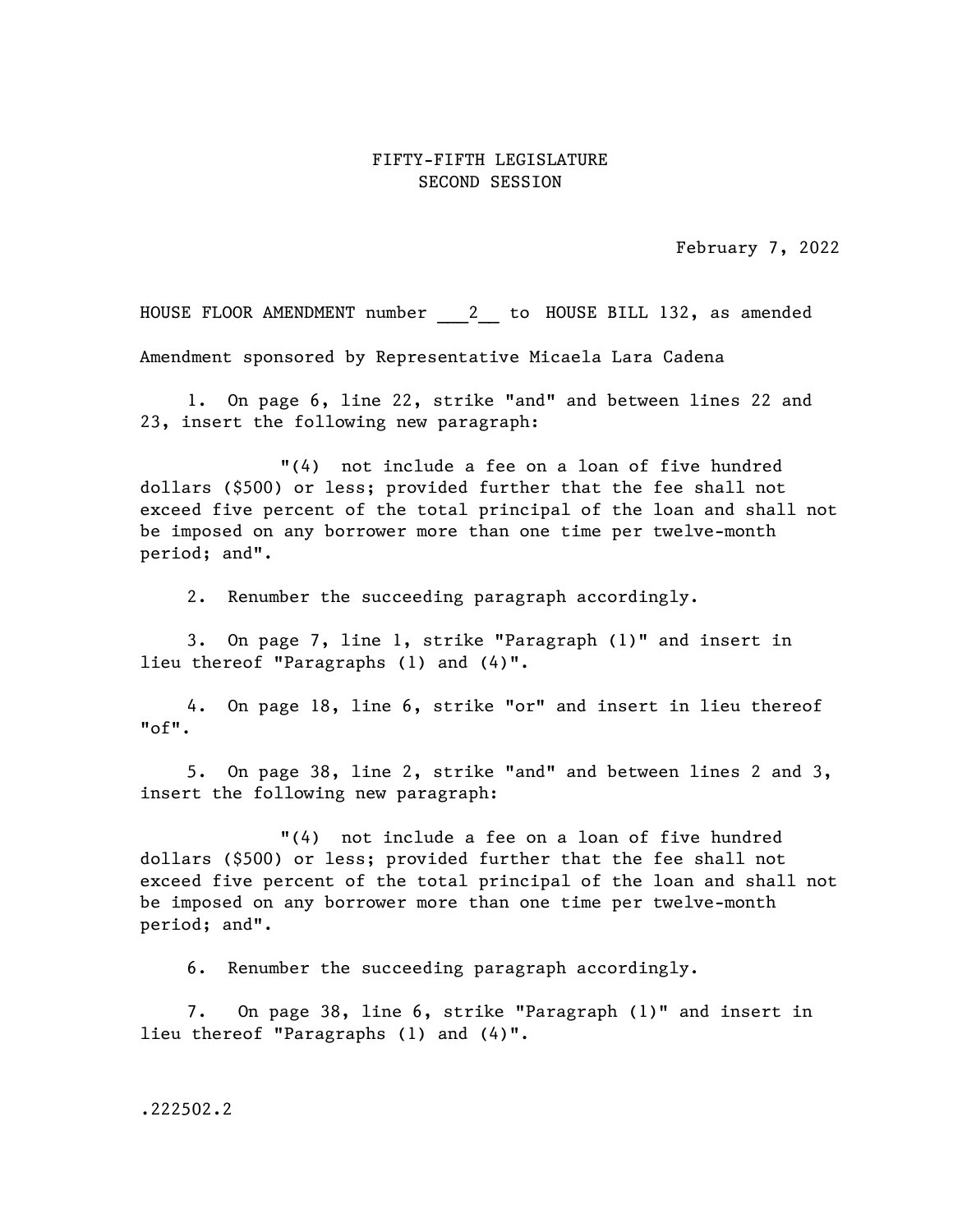## FIFTY-FIFTH LEGISLATURE SECOND SESSION

February 7, 2022

HOUSE FLOOR AMENDMENT number 2 to HOUSE BILL 132, as amended Amendment sponsored by Representative Micaela Lara Cadena

1. On page 6, line 22, strike "and" and between lines 22 and 23, insert the following new paragraph:

"(4) not include a fee on a loan of five hundred dollars (\$500) or less; provided further that the fee shall not exceed five percent of the total principal of the loan and shall not be imposed on any borrower more than one time per twelve-month period; and".

2. Renumber the succeeding paragraph accordingly.

3. On page 7, line 1, strike "Paragraph (1)" and insert in lieu thereof "Paragraphs (1) and (4)".

4. On page 18, line 6, strike "or" and insert in lieu thereof "of".

5. On page 38, line 2, strike "and" and between lines 2 and 3, insert the following new paragraph:

"(4) not include a fee on a loan of five hundred dollars (\$500) or less; provided further that the fee shall not exceed five percent of the total principal of the loan and shall not be imposed on any borrower more than one time per twelve-month period; and".

6. Renumber the succeeding paragraph accordingly.

7. On page 38, line 6, strike "Paragraph (1)" and insert in lieu thereof "Paragraphs (1) and (4)".